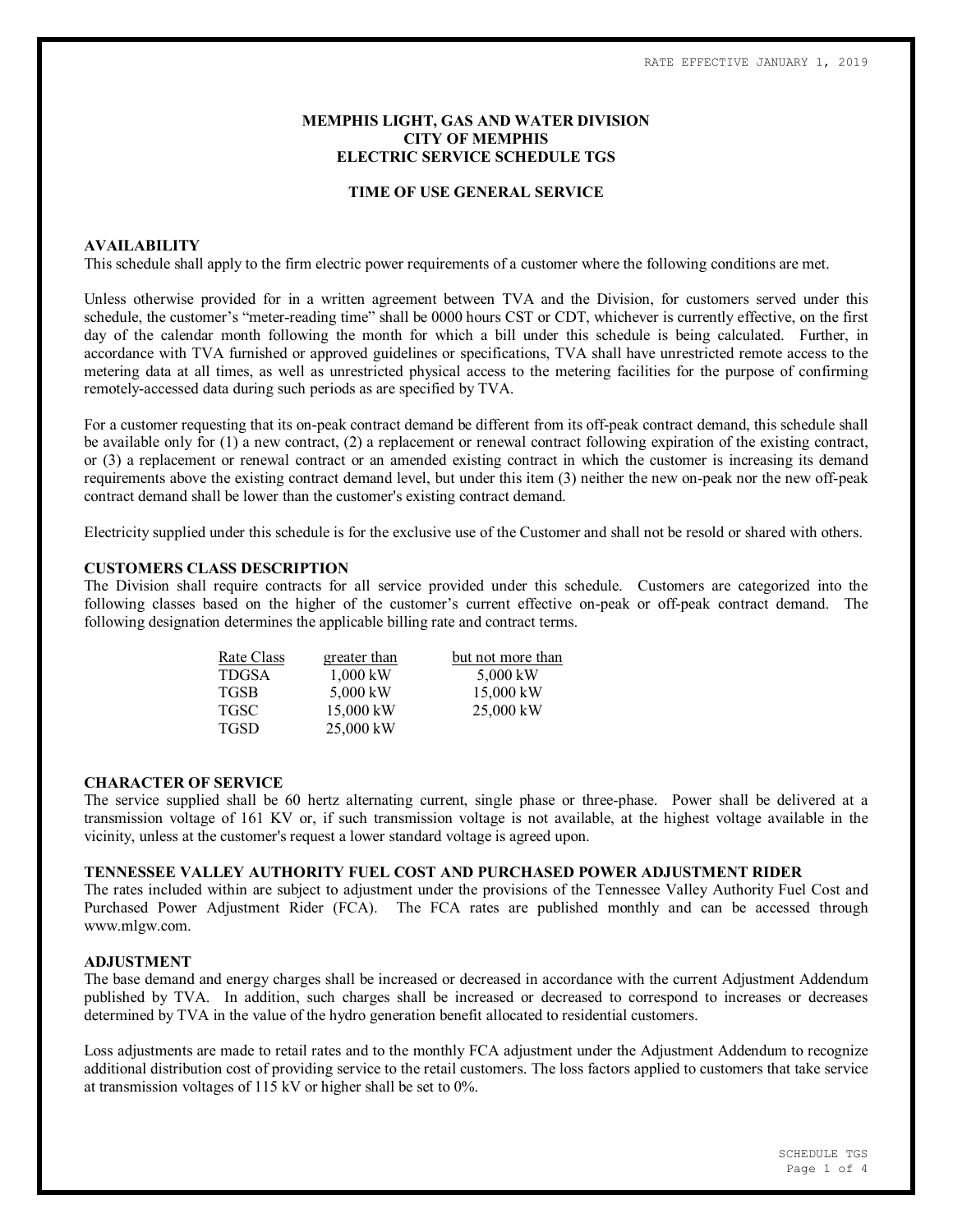# **MEMPHIS LIGHT, GAS AND WATER DIVISION CITY OF MEMPHIS ELECTRIC SERVICE SCHEDULE TGS**

### **TIME OF USE GENERAL SERVICE**

### **AVAILABILITY**

This schedule shall apply to the firm electric power requirements of a customer where the following conditions are met.

Unless otherwise provided for in a written agreement between TVA and the Division, for customers served under this schedule, the customer's "meter-reading time" shall be 0000 hours CST or CDT, whichever is currently effective, on the first day of the calendar month following the month for which a bill under this schedule is being calculated. Further, in accordance with TVA furnished or approved guidelines or specifications, TVA shall have unrestricted remote access to the metering data at all times, as well as unrestricted physical access to the metering facilities for the purpose of confirming remotely-accessed data during such periods as are specified by TVA.

For a customer requesting that its on-peak contract demand be different from its off-peak contract demand, this schedule shall be available only for (1) a new contract, (2) a replacement or renewal contract following expiration of the existing contract, or (3) a replacement or renewal contract or an amended existing contract in which the customer is increasing its demand requirements above the existing contract demand level, but under this item (3) neither the new on-peak nor the new off-peak contract demand shall be lower than the customer's existing contract demand.

Electricity supplied under this schedule is for the exclusive use of the Customer and shall not be resold or shared with others.

### **CUSTOMERS CLASS DESCRIPTION**

The Division shall require contracts for all service provided under this schedule. Customers are categorized into the following classes based on the higher of the customer's current effective on-peak or off-peak contract demand. The following designation determines the applicable billing rate and contract terms.

| Rate Class   | greater than | but not more than |  |  |  |
|--------------|--------------|-------------------|--|--|--|
| <b>TDGSA</b> | $1,000$ kW   | 5,000 kW          |  |  |  |
| <b>TGSB</b>  | 5,000 kW     | 15,000 kW         |  |  |  |
| <b>TGSC</b>  | 15,000 kW    | $25,000$ kW       |  |  |  |
| <b>TGSD</b>  | 25,000 kW    |                   |  |  |  |

#### **CHARACTER OF SERVICE**

The service supplied shall be 60 hertz alternating current, single phase or three-phase. Power shall be delivered at a transmission voltage of 161 KV or, if such transmission voltage is not available, at the highest voltage available in the vicinity, unless at the customer's request a lower standard voltage is agreed upon.

# **TENNESSEE VALLEY AUTHORITY FUEL COST AND PURCHASED POWER ADJUSTMENT RIDER**

The rates included within are subject to adjustment under the provisions of the Tennessee Valley Authority Fuel Cost and Purchased Power Adjustment Rider (FCA). The FCA rates are published monthly and can be accessed through www.mlgw.com.

### **ADJUSTMENT**

The base demand and energy charges shall be increased or decreased in accordance with the current Adjustment Addendum published by TVA. In addition, such charges shall be increased or decreased to correspond to increases or decreases determined by TVA in the value of the hydro generation benefit allocated to residential customers.

Loss adjustments are made to retail rates and to the monthly FCA adjustment under the Adjustment Addendum to recognize additional distribution cost of providing service to the retail customers. The loss factors applied to customers that take service at transmission voltages of 115 kV or higher shall be set to 0%.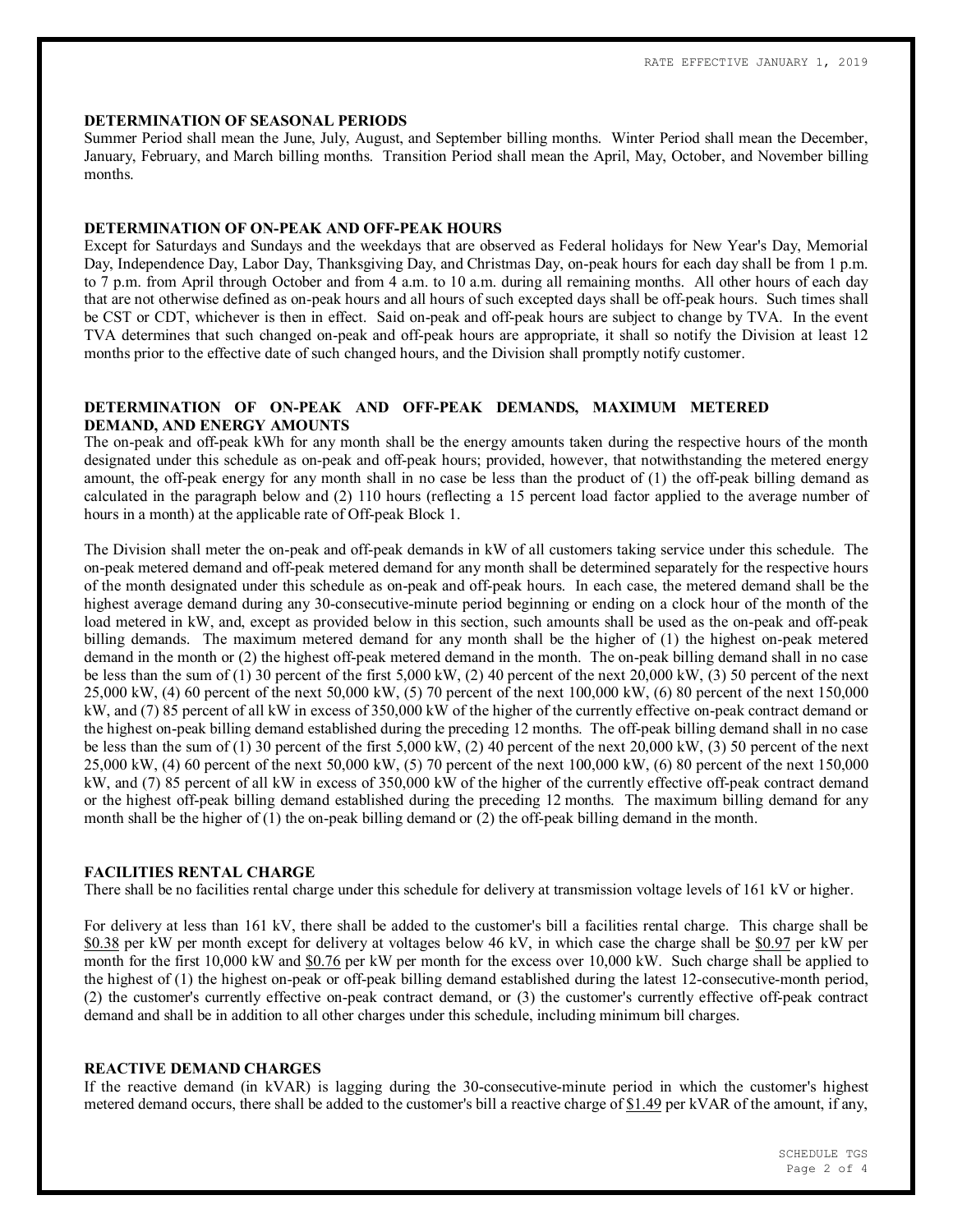### **DETERMINATION OF SEASONAL PERIODS**

Summer Period shall mean the June, July, August, and September billing months. Winter Period shall mean the December, January, February, and March billing months. Transition Period shall mean the April, May, October, and November billing months.

### **DETERMINATION OF ON-PEAK AND OFF-PEAK HOURS**

Except for Saturdays and Sundays and the weekdays that are observed as Federal holidays for New Year's Day, Memorial Day, Independence Day, Labor Day, Thanksgiving Day, and Christmas Day, on-peak hours for each day shall be from 1 p.m. to 7 p.m. from April through October and from 4 a.m. to 10 a.m. during all remaining months. All other hours of each day that are not otherwise defined as on-peak hours and all hours of such excepted days shall be off-peak hours. Such times shall be CST or CDT, whichever is then in effect. Said on-peak and off-peak hours are subject to change by TVA. In the event TVA determines that such changed on-peak and off-peak hours are appropriate, it shall so notify the Division at least 12 months prior to the effective date of such changed hours, and the Division shall promptly notify customer.

# **DETERMINATION OF ON-PEAK AND OFF-PEAK DEMANDS, MAXIMUM METERED DEMAND, AND ENERGY AMOUNTS**

The on-peak and off-peak kWh for any month shall be the energy amounts taken during the respective hours of the month designated under this schedule as on-peak and off-peak hours; provided, however, that notwithstanding the metered energy amount, the off-peak energy for any month shall in no case be less than the product of (1) the off-peak billing demand as calculated in the paragraph below and (2) 110 hours (reflecting a 15 percent load factor applied to the average number of hours in a month) at the applicable rate of Off-peak Block 1.

The Division shall meter the on-peak and off-peak demands in kW of all customers taking service under this schedule. The on-peak metered demand and off-peak metered demand for any month shall be determined separately for the respective hours of the month designated under this schedule as on-peak and off-peak hours. In each case, the metered demand shall be the highest average demand during any 30-consecutive-minute period beginning or ending on a clock hour of the month of the load metered in kW, and, except as provided below in this section, such amounts shall be used as the on-peak and off-peak billing demands. The maximum metered demand for any month shall be the higher of (1) the highest on-peak metered demand in the month or (2) the highest off-peak metered demand in the month. The on-peak billing demand shall in no case be less than the sum of (1) 30 percent of the first 5,000 kW, (2) 40 percent of the next 20,000 kW, (3) 50 percent of the next 25,000 kW, (4) 60 percent of the next 50,000 kW, (5) 70 percent of the next 100,000 kW, (6) 80 percent of the next 150,000 kW, and (7) 85 percent of all kW in excess of 350,000 kW of the higher of the currently effective on-peak contract demand or the highest on-peak billing demand established during the preceding 12 months. The off-peak billing demand shall in no case be less than the sum of (1) 30 percent of the first 5,000 kW, (2) 40 percent of the next 20,000 kW, (3) 50 percent of the next 25,000 kW, (4) 60 percent of the next 50,000 kW, (5) 70 percent of the next 100,000 kW, (6) 80 percent of the next 150,000 kW, and (7) 85 percent of all kW in excess of 350,000 kW of the higher of the currently effective off-peak contract demand or the highest off-peak billing demand established during the preceding 12 months. The maximum billing demand for any month shall be the higher of (1) the on-peak billing demand or (2) the off-peak billing demand in the month.

# **FACILITIES RENTAL CHARGE**

There shall be no facilities rental charge under this schedule for delivery at transmission voltage levels of 161 kV or higher.

For delivery at less than 161 kV, there shall be added to the customer's bill a facilities rental charge. This charge shall be \$0.38 per kW per month except for delivery at voltages below 46 kV, in which case the charge shall be \$0.97 per kW per month for the first 10,000 kW and \$0.76 per kW per month for the excess over 10,000 kW. Such charge shall be applied to the highest of (1) the highest on-peak or off-peak billing demand established during the latest 12-consecutive-month period, (2) the customer's currently effective on-peak contract demand, or (3) the customer's currently effective off-peak contract demand and shall be in addition to all other charges under this schedule, including minimum bill charges.

# **REACTIVE DEMAND CHARGES**

If the reactive demand (in kVAR) is lagging during the 30-consecutive-minute period in which the customer's highest metered demand occurs, there shall be added to the customer's bill a reactive charge of \$1.49 per kVAR of the amount, if any,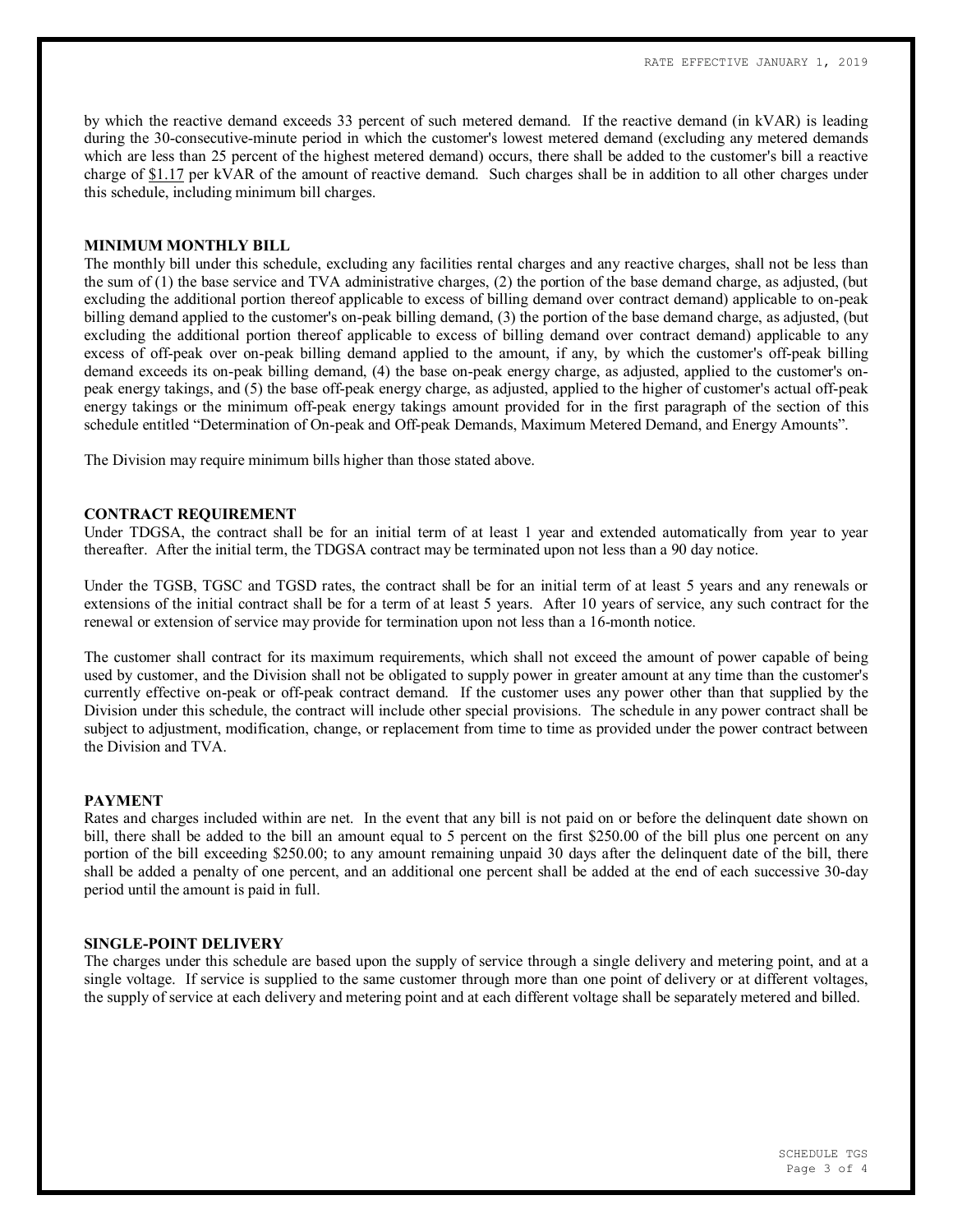by which the reactive demand exceeds 33 percent of such metered demand. If the reactive demand (in kVAR) is leading during the 30-consecutive-minute period in which the customer's lowest metered demand (excluding any metered demands which are less than 25 percent of the highest metered demand) occurs, there shall be added to the customer's bill a reactive charge of \$1.17 per kVAR of the amount of reactive demand. Such charges shall be in addition to all other charges under this schedule, including minimum bill charges.

#### **MINIMUM MONTHLY BILL**

The monthly bill under this schedule, excluding any facilities rental charges and any reactive charges, shall not be less than the sum of (1) the base service and TVA administrative charges, (2) the portion of the base demand charge, as adjusted, (but excluding the additional portion thereof applicable to excess of billing demand over contract demand) applicable to on-peak billing demand applied to the customer's on-peak billing demand, (3) the portion of the base demand charge, as adjusted, (but excluding the additional portion thereof applicable to excess of billing demand over contract demand) applicable to any excess of off-peak over on-peak billing demand applied to the amount, if any, by which the customer's off-peak billing demand exceeds its on-peak billing demand, (4) the base on-peak energy charge, as adjusted, applied to the customer's onpeak energy takings, and (5) the base off-peak energy charge, as adjusted, applied to the higher of customer's actual off-peak energy takings or the minimum off-peak energy takings amount provided for in the first paragraph of the section of this schedule entitled "Determination of On-peak and Off-peak Demands, Maximum Metered Demand, and Energy Amounts".

The Division may require minimum bills higher than those stated above.

### **CONTRACT REQUIREMENT**

Under TDGSA, the contract shall be for an initial term of at least 1 year and extended automatically from year to year thereafter. After the initial term, the TDGSA contract may be terminated upon not less than a 90 day notice.

Under the TGSB, TGSC and TGSD rates, the contract shall be for an initial term of at least 5 years and any renewals or extensions of the initial contract shall be for a term of at least 5 years. After 10 years of service, any such contract for the renewal or extension of service may provide for termination upon not less than a 16-month notice.

The customer shall contract for its maximum requirements, which shall not exceed the amount of power capable of being used by customer, and the Division shall not be obligated to supply power in greater amount at any time than the customer's currently effective on-peak or off-peak contract demand. If the customer uses any power other than that supplied by the Division under this schedule, the contract will include other special provisions. The schedule in any power contract shall be subject to adjustment, modification, change, or replacement from time to time as provided under the power contract between the Division and TVA.

#### **PAYMENT**

Rates and charges included within are net. In the event that any bill is not paid on or before the delinquent date shown on bill, there shall be added to the bill an amount equal to 5 percent on the first \$250.00 of the bill plus one percent on any portion of the bill exceeding \$250.00; to any amount remaining unpaid 30 days after the delinquent date of the bill, there shall be added a penalty of one percent, and an additional one percent shall be added at the end of each successive 30-day period until the amount is paid in full.

### **SINGLE-POINT DELIVERY**

The charges under this schedule are based upon the supply of service through a single delivery and metering point, and at a single voltage. If service is supplied to the same customer through more than one point of delivery or at different voltages, the supply of service at each delivery and metering point and at each different voltage shall be separately metered and billed.